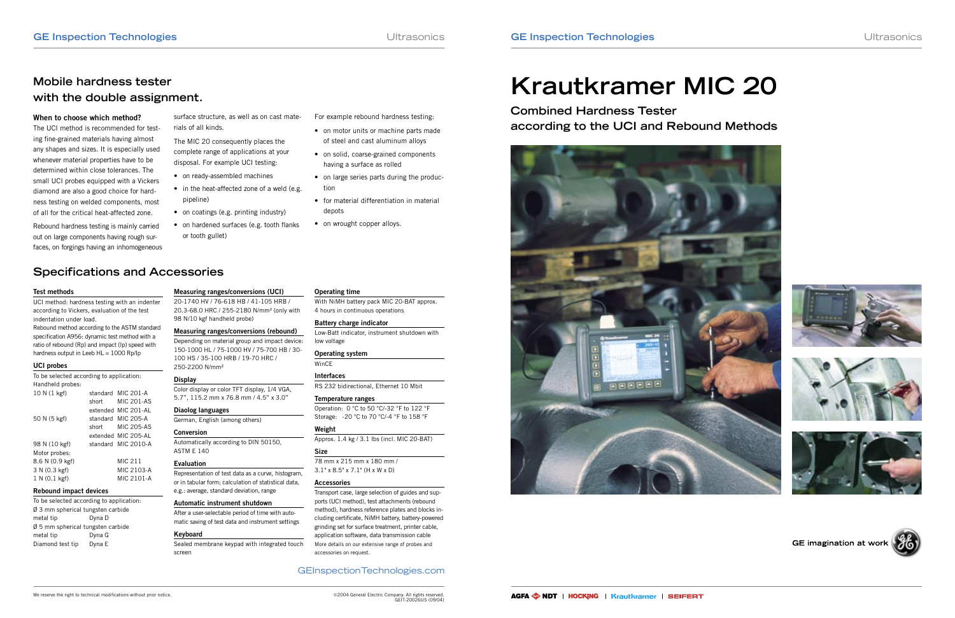### GEInspectionTechnologies.com

# Mobile hardness tester<br>with the double assignment.<br>**Krautkramer MIC 20**

# **Mobile hardness tester**

**Combined Hardness Tester according to the UCI and Rebound Methods**









### GE imagination at work



#### **When to choose which method?**

The UCI method is recommended for testing fine-grained materials having almost any shapes and sizes. It is especially used whenever material properties have to be determined within close tolerances. The small UCI probes equipped with a Vickers diamond are also a good choice for hardness testing on welded components, most of all for the critical heat-affected zone.

- For example rebound hardness testing:
- on motor units or machine parts made of steel and cast aluminum alloys
- on solid, coarse-grained components having a surface as rolled
- on large series parts during the production
- for material differentiation in material depots
- on wrought copper alloys.

UCI method: hardness testing with an indenter according to Vickers, evaluation of the test indentation under load. Rebound method according to the ASTM standard specification A956: dynamic test method with a ratio of rebound (Rp) and impact (Ip) speed with hardness output in Leeb  $HL = 1000$  Rp/lp

Rebound hardness testing is mainly carried out on large components having rough surfaces, on forgings having an inhomogeneous

surface structure, as well as on cast materials of all kinds.

The MIC 20 consequently places the complete range of applications at your disposal. For example UCI testing:

- on ready-assembled machines
- in the heat-affected zone of a weld (e.g. pipeline)
- on coatings (e.g. printing industry)
- on hardened surfaces (e.g. tooth flanks or tooth gullet)

#### **Test methods**

#### **UCI probes**

| To be selected according to application: |          |                     |
|------------------------------------------|----------|---------------------|
| Handheld probes:                         |          |                     |
| 10 N (1 kgf)                             |          | standard MIC 201-A  |
|                                          | short    | MIC 201-AS          |
|                                          |          | extended MIC 201-AL |
| 50 N (5 kgf)                             | standard | MIC 205-A           |
|                                          | short    | <b>MIC 205-AS</b>   |
|                                          |          | extended MIC 205-AL |
| 98 N (10 kgf)                            |          | standard MIC 2010-A |
| Motor probes:                            |          |                     |
| 8.6 N (0.9 kgf)                          |          | MIC 211             |
| 3 N (0.3 kgf)                            |          | MIC 2103-A          |
| 1 N (0.1 kgf)                            |          | MIC 2101-A          |
|                                          |          |                     |

#### **Rebound impact devices**

To be selected according to application: Ø 3 mm spherical tungsten carbide metal tip Dyna D Ø 5 mm spherical tungsten carbide metal tip Dyna G Diamond test tip Dyna E

### **Measuring ranges/conversions (UCI)**

20-1740 HV / 76-618 HB / 41-105 HRB / 20.3-68.0 HRC / 255-2180 N/mm² (only with 98 N/10 kgf handheld probe)

## **Measuring ranges/conversions (rebound)**

Depending on material group and impact device: 150-1000 HL / 75-1000 HV / 75-700 HB / 30- 100 HS / 35-100 HRB / 19-70 HRC / 250-2200 N/mm²

#### **Display**

Color display or color TFT display, 1/4 VGA, 5.7", 115.2 mm x 76.8 mm / 4.5" x 3.0"

**Diaolog languages**

#### German, English (among others)

#### **Conversion**

Automatically according to DIN 50150, ASTM E 140

#### **Evaluation**

Representation of test data as a curve, histogram, or in tabular form; calculation of statistical data, e.g.: average, standard deviation, range

#### **Automatic instrument shutdown**

After a user-selectable period of time with automatic saving of test data and instrument settings

#### **Keyboard**

Sealed membrane keypad with integrated touch screen

#### **Operating time**

With NiMH battery pack MIC 20-BAT approx. 4 hours in continuous operations

#### **Battery charge indicator**

Low-Batt indicator, instrument shutdown with low voltage

#### **Operating system**

WinCE

#### **Interfaces**

RS 232 bidirectional, Ethernet 10 Mbit

#### **Temperature ranges**

Operation: 0 °C to 50 °C/-32 °F to 122 °F Storage: -20 °C to 70 °C/-4 °F to 158 °F

#### **Weight**

Approx. 1.4 kg / 3.1 lbs (incl. MIC 20-BAT)

#### **Size**

78 mm x 215 mm x 180 mm / 3.1" x 8.5" x 7.1" (H x W x D)

#### **Accessories**

Transport case, large selection of guides and supports (UCI method), test attachments (rebound method), hardness reference plates and blocks including certificate, NiMH battery, battery-powered grinding set for surface treatment, printer cable, application software, data transmission cable More details on our extensive range of probes and accessories on request.

# **Specifications and Accessories**